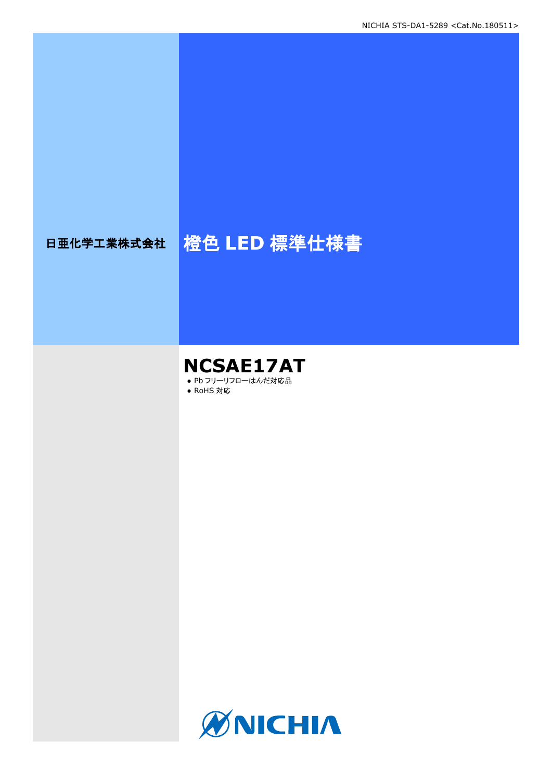# 日亜化学工業株式会社 橙色 LED 標準仕様書

### **NCSAE17AT** ● Pb フリーリフローはんだ対応品

● RoHS 対応

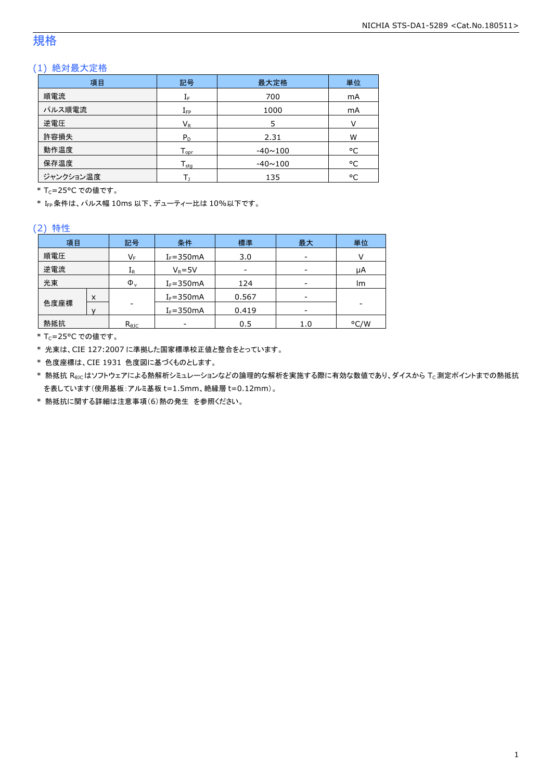### 規格

### (1) 絶対最大定格

| 項目        | 記号                | 最大定格           | 単位 |
|-----------|-------------------|----------------|----|
| 順電流       | ΙF                | 700            | mA |
| パルス順電流    | $I_{\mathsf{FP}}$ | 1000           | mA |
| 逆電圧       | $V_{R}$           | 5              | v  |
| 許容損失      | $P_D$             | 2.31           | W  |
| 動作温度      | $T_{\text{opr}}$  | $-40 \sim 100$ | °C |
| 保存温度      | $T_{\text{stg}}$  | $-40 \sim 100$ | °C |
| ジャンクション温度 |                   | 135            | ۰c |

\* Tc=25°C での値です。

\* IFP条件は、パルス幅 10ms 以下、デューティー比は 10%以下です。

#### (2) 特性

| 項目   |   | 記号                      | 条件            | 標準              | 最大  | 単位   |
|------|---|-------------------------|---------------|-----------------|-----|------|
| 順電圧  |   | $\mathsf{V}_\mathsf{F}$ | $I_F = 350mA$ | 3.0             | -   |      |
| 逆電流  |   | ${\rm I}_{\mathsf{R}}$  | $V_R = 5V$    | $\qquad \qquad$ | -   | μA   |
| 光束   |   | $\Phi_{\rm v}$          | $I_F = 350mA$ | 124             | -   | lm   |
|      | X |                         | $I_F = 350mA$ | 0.567           | -   |      |
| 色度座標 |   | -                       | $I_F = 350mA$ | 0.419           | -   |      |
| 熱抵抗  |   | $R_{\theta$ JC          |               | 0.5             | 1.0 | °C/W |

\* Tc=25°C での値です。

\* 光束は、CIE 127:2007 に準拠した国家標準校正値と整合をとっています。

\* 色度座標は、CIE 1931 色度図に基づくものとします。

\* 熱抵抗 Rejcはソフトウェアによる熱解析シミュレーションなどの論理的な解析を実施する際に有効な数値であり、ダイスから Tc測定ポイントまでの熱抵抗 を表しています(使用基板:アルミ基板 t=1.5mm、絶縁層 t=0.12mm)。

\* 熱抵抗に関する詳細は注意事項(6)熱の発生 を参照ください。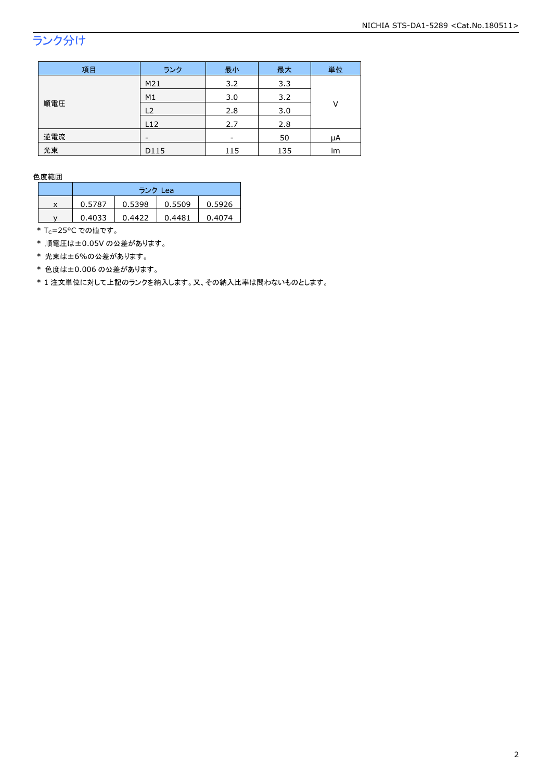## ランク分け

| 項目  | ランク  | 最小  | 最大  | 単位 |  |
|-----|------|-----|-----|----|--|
|     | M21  | 3.2 | 3.3 |    |  |
| 順電圧 | M1   | 3.0 | 3.2 | ٧  |  |
|     | L2   | 2.8 | 3.0 |    |  |
|     | L12  | 2.7 | 2.8 |    |  |
| 逆電流 |      | -   | 50  | μA |  |
| 光束  | D115 | 115 | 135 | lm |  |

色度範囲

|   | ランク Lea |        |        |        |
|---|---------|--------|--------|--------|
| x | 0.5787  | 0.5398 | 0.5509 | 0.5926 |
| v | 0.4033  | 0.4422 | 0.4481 | 0.4074 |

\* Tc=25°C での値です。

\* 順電圧は±0.05V の公差があります。

\* 光束は±6%の公差があります。

\* 色度は±0.006 の公差があります。

\* 1 注文単位に対して上記のランクを納入します。又、その納入比率は問わないものとします。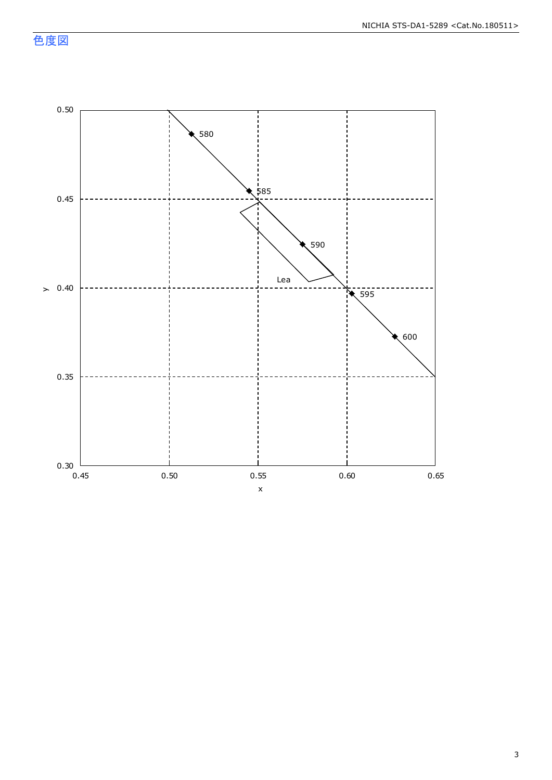色度図

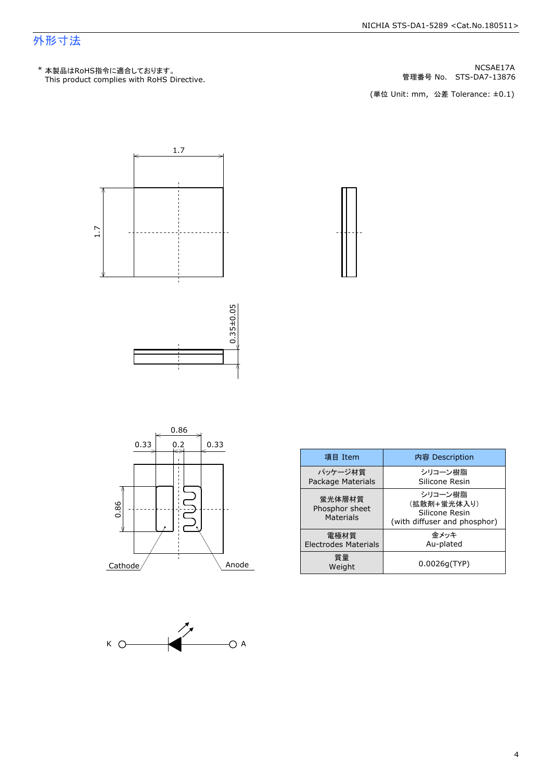### 外形寸法

管理番号 No.







| 項目 Item                                      | 内容 Description                                                           |
|----------------------------------------------|--------------------------------------------------------------------------|
| パッケージ材質<br>Package Materials                 | シリコーン樹脂<br>Silicone Resin                                                |
| 蛍光体層材質<br>Phosphor sheet<br><b>Materials</b> | シリコーン樹脂<br>(拡散剤+蛍光体入り)<br>Silicone Resin<br>(with diffuser and phosphor) |
| 雷極材質<br>Electrodes Materials                 | 金メッキ<br>Au-plated                                                        |
| 質量<br>Weight                                 | 0.0026q(TYP)                                                             |



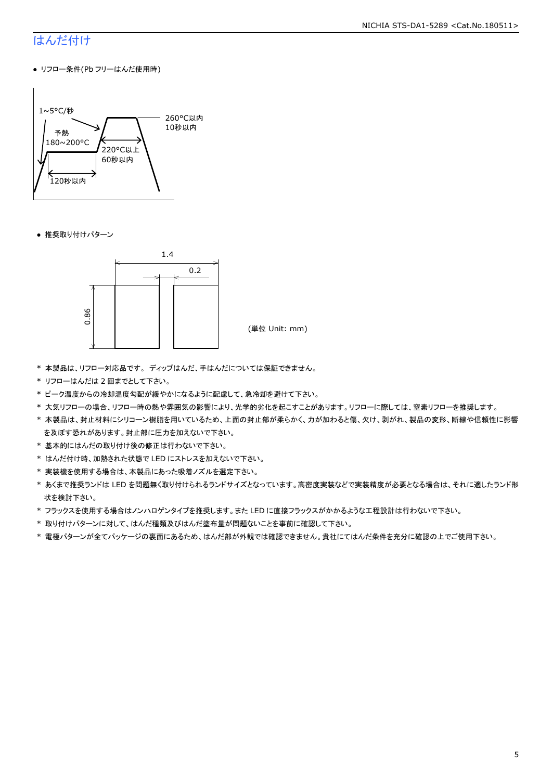### はんだ付け

● リフロー条件(Pb フリーはんだ使用時)



● 推奨取り付けパターン



- \* 本製品は、リフロー対応品です。 ディップはんだ、手はんだについては保証できません。
- \* リフローはんだは 2 回までとして下さい。
- \* ピーク温度からの冷却温度勾配が緩やかになるように配慮して、急冷却を避けて下さい。
- \* 大気リフローの場合、リフロー時の熱や雰囲気の影響により、光学的劣化を起こすことがあります。リフローに際しては、窒素リフローを推奨します。
- \* 本製品は、封止材料にシリコーン樹脂を用いているため、上面の封止部が柔らかく、力が加わると傷、欠け、剥がれ、製品の変形、断線や信頼性に影響 を及ぼす恐れがあります。封止部に圧力を加えないで下さい。
- \* 基本的にはんだの取り付け後の修正は行わないで下さい。
- \* はんだ付け時、加熱された状態で LED にストレスを加えないで下さい。
- \* 実装機を使用する場合は、本製品にあった吸着ノズルを選定下さい。
- \* あくまで推奨ランドは LED を問題無く取り付けられるランドサイズとなっています。高密度実装などで実装精度が必要となる場合は、それに適したランド形 状を検討下さい。
- \* フラックスを使用する場合はノンハロゲンタイプを推奨します。また LED に直接フラックスがかかるような工程設計は行わないで下さい。
- \* 取り付けパターンに対して、はんだ種類及びはんだ塗布量が問題ないことを事前に確認して下さい。
- \* 電極パターンが全てパッケージの裏面にあるため、はんだ部が外観では確認できません。貴社にてはんだ条件を充分に確認の上でご使用下さい。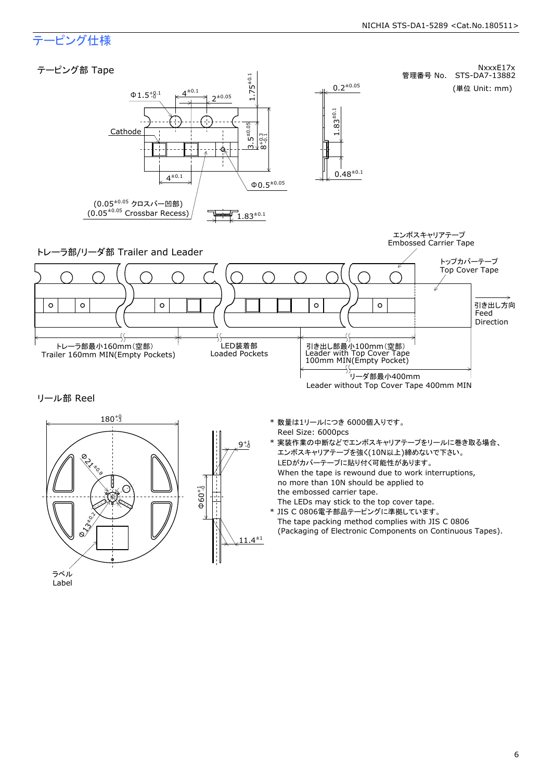### テーピング仕様

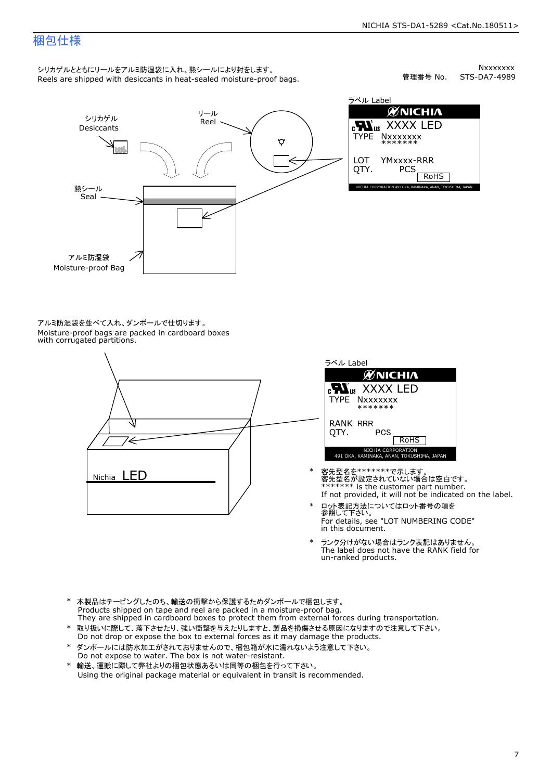### 梱包仕様

シリカゲルとともにリールをアルミ防湿袋に入れ、熱シールにより封をします。<br>Reels are shipped with desiccants in heat-sealed moisture-proof bags.

Nxxxxxxx<br>STS-DA7-4989 管理番号 No.



アルミ防湿袋を並べて入れ、ダンボールで仕切ります。<br>Moisture-proof bags are packed in cardboard boxes<br>with corrugated partitions.





- 客先型名を\*\*\*\*\*\*\*で示します。<br>客先型名が設定されていない場合は空白です。<br>\*\*\*\*\*\*\* is the customer part number.<br>If not provided, it will not be indicated on the label.
- ロット表記方法についてはロット番号の項を<br>参照して下さい。 \* ロット表記方法についてはロット番号の項を<br>参照して下さい。<br>For details, see "LOT NUMBERING CODE"<br>in this document.
- The label does not have the RANK field for \* ランク分けがない場合はランク表記はありません。<br>The label does not have the RANK field fi<br>un-ranked products.
- 
- \* 取り扱いに際して、落下させたり、強い衝撃を与えたりしますと、製品を損傷させる原因になりますので注意して下さい。<br>Do not drop or expose the box to external forces as it may damage the products.<br>\* ダンボールには防水加工がされておりませんので、梱包箱が水に濡れないよう注意して下さい。<br>Do not expose to water. The box is n \* 本製品はテーピングしたのち、輸送の衝撃から保護するためダンボールで梱包します。<br>Products shipped on tape and reel are packed in a moisture-proof bag.<br>They are shipped in cardboard boxes to protect them from external forces during transportation.<br>\* 取り扱いに際して、落
- \* ダンボールには防水加工がされておりませんので、梱包箱が水に濡れないよう注意して下さい。
-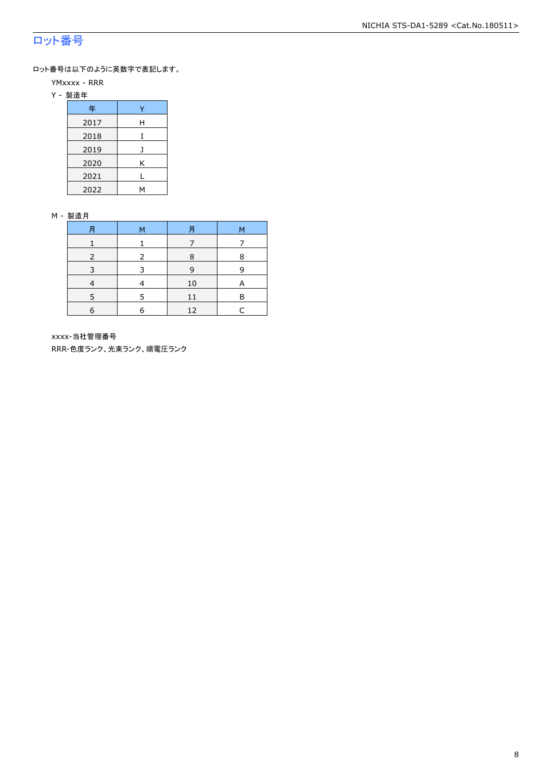### ロット番号

ロット番号は以下のように英数字で表記します。

- YMxxxx RRR
- Y 製造年

| 年    |   |
|------|---|
| 2017 | Н |
| 2018 |   |
| 2019 |   |
| 2020 | Κ |
| 2021 |   |
| 2022 |   |

#### M - 製造月

| 月          | M | 月  | М |
|------------|---|----|---|
|            |   |    |   |
|            |   | 8  | 8 |
| 3          | ₹ | 9  | q |
|            |   | 10 |   |
|            | 5 | 11 | R |
| $\epsilon$ | 6 | 12 |   |

xxxx-当社管理番号

RRR-色度ランク、光束ランク、順電圧ランク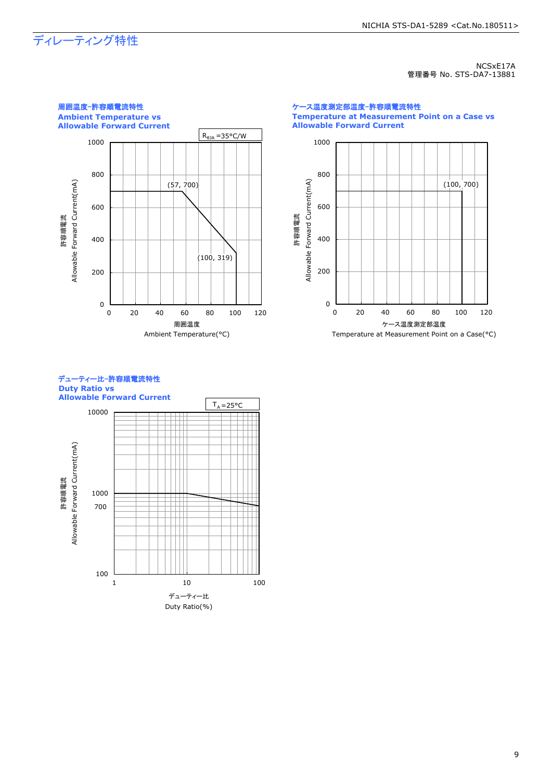## ディレーティング特性

NCSxE17A 管理番号 No. STS-DA7-13881



ケース温度測定部温度-許容順電流特性 **Temperature at Measurement Point on a Case vs Allowable Forward Current**





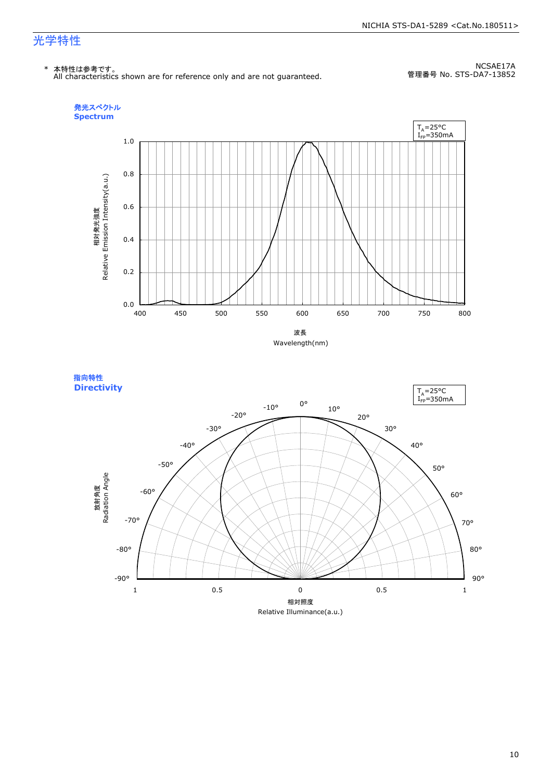#### NICHIA STS-DA1-5289 <Cat.No.180511>

### 光学特性

\* 本特性は参考です。 All characteristics shown are for reference only and are not guaranteed.

NCSAE17A 管理番号 No. STS-DA7-13852





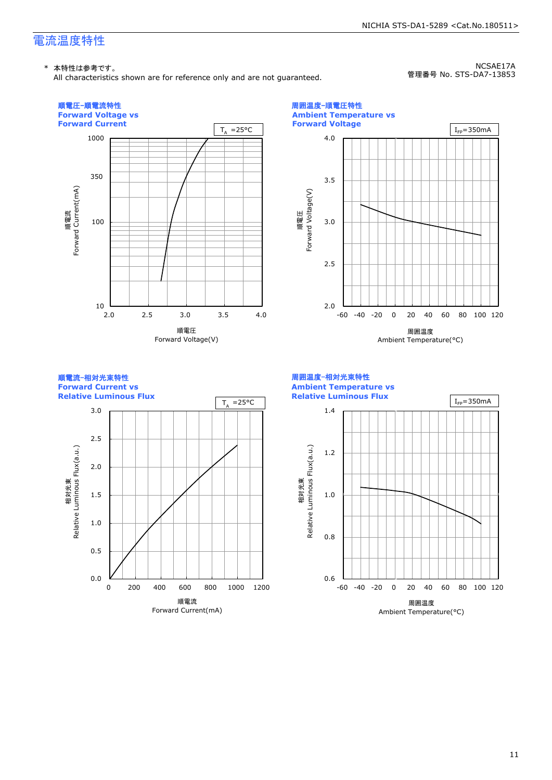### 電流温度特性

#### \* 本特性は参考です。

All characteristics shown are for reference only and are not guaranteed.

NCSAE17A 管理番号 No. STS-DA7-13853

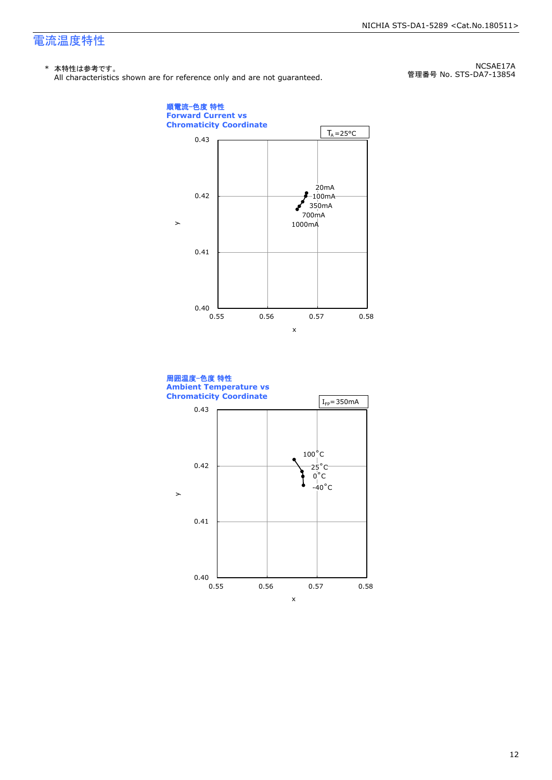### 電流温度特性

#### \* 本特性は参考です。

All characteristics shown are for reference only and are not guaranteed.

NCSAE17A 管理番号 No. STS-DA7-13854



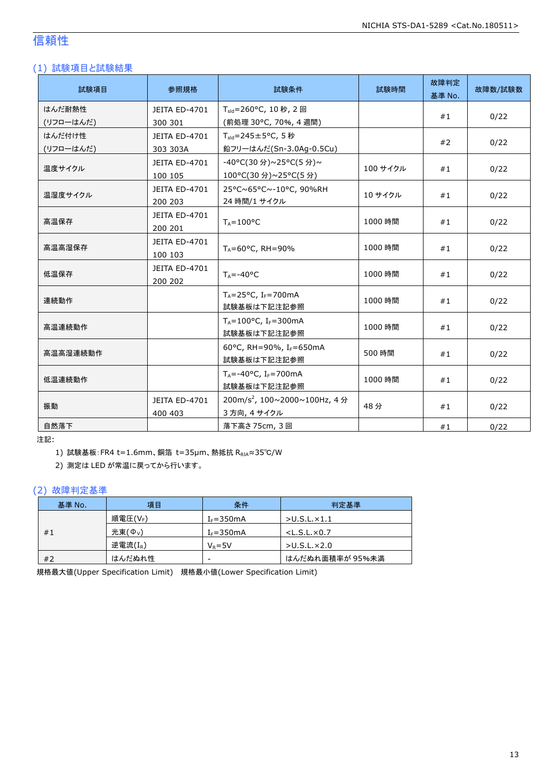### 信頼性

### (1) 試験項目と試験結果

| 試験項目      | 参照規格          | 試験条件                                       | 試験時間     | 故障判定<br>基準 No. | 故障数/試験数 |
|-----------|---------------|--------------------------------------------|----------|----------------|---------|
| はんだ耐熱性    | JEITA ED-4701 | $T_{\text{std}} = 260$ °C, 10 秒, 2 回       |          | #1             | 0/22    |
| (リフローはんだ) | 300 301       | (前処理 30°C, 70%, 4 週間)                      |          |                |         |
| はんだ付け性    | JEITA ED-4701 | $T_{\text{std}} = 245 \pm 5^{\circ}$ C, 5秒 |          | #2             | 0/22    |
| (リフローはんだ) | 303 303A      | 鉛フリーはんだ(Sn-3.0Ag-0.5Cu)                    |          |                |         |
| 温度サイクル    | JEITA ED-4701 | -40°C(30分)~25°C(5分)~                       | 100 サイクル | #1             |         |
|           | 100 105       | 100°C(30 分)~25°C(5 分)                      |          |                | 0/22    |
| 温湿度サイクル   | JEITA ED-4701 | 25°C~65°C~-10°C, 90%RH                     | 10 サイクル  |                |         |
|           | 200 203       | 24 時間/1 サイクル                               |          | #1             | 0/22    |
|           | JEITA ED-4701 |                                            |          | #1             | 0/22    |
| 高温保存      | 200 201       | $T_A = 100^{\circ}C$                       | 1000 時間  |                |         |
| 高温高湿保存    | JEITA ED-4701 |                                            | 1000 時間  | #1             | 0/22    |
|           | 100 103       | $T_A = 60^{\circ}$ C, RH = 90%             |          |                |         |
|           | JEITA ED-4701 |                                            | 1000 時間  | #1             | 0/22    |
| 低温保存      | 200 202       | $T_A = -40$ °C                             |          |                |         |
| 連続動作      |               | $T_A = 25$ °C, I <sub>F</sub> =700mA       | 1000 時間  | #1             | 0/22    |
|           |               | 試験基板は下記注記参照                                |          |                |         |
|           |               | $T_A = 100$ °C, I <sub>F</sub> = 300 mA    |          |                | 0/22    |
| 高温連続動作    |               | 試験基板は下記注記参照                                | 1000 時間  | #1             |         |
|           |               | 60°C, RH=90%, IF=650mA                     |          |                |         |
| 高温高湿連続動作  |               | 試験基板は下記注記参照                                | 500 時間   | #1             | 0/22    |
|           |               | $T_A = -40$ °C, I <sub>F</sub> =700mA      |          |                |         |
| 低温連続動作    |               | 試験基板は下記注記参照                                | 1000 時間  | #1             | 0/22    |
|           | JEITA ED-4701 | 200m/s <sup>2</sup> , 100~2000~100Hz, 4分   |          |                |         |
| 振動        | 400 403       | 3 方向, 4 サイクル                               | 48分      | #1             | 0/22    |
| 自然落下      |               | 落下高さ 75cm, 3回                              |          | #1             | 0/22    |

注記:

1) 試験基板: FR4 t=1.6mm、銅箔 t=35μm、熱抵抗 RθJA≈35℃/W

2) 測定は LED が常温に戻ってから行います。

#### (2) 故障判定基準

| 基準 No. | 項目               | 条件                       | 判定基準                    |
|--------|------------------|--------------------------|-------------------------|
|        | 順電圧(VF)          | $I_F = 350mA$            | $>$ U.S.L. $\times$ 1.1 |
| #1     | 光束( $\Phi_{V}$ ) | $IF=350mA$               | $<$ L.S.L. $\times$ 0.7 |
|        | 逆電流 $(I_R)$      | $V_R = 5V$               | $>$ U.S.L $\times$ 2.0  |
| #2     | はんだぬれ性           | $\overline{\phantom{a}}$ | はんだぬれ面積率が 95%未満         |

規格最大値(Upper Specification Limit) 規格最小値(Lower Specification Limit)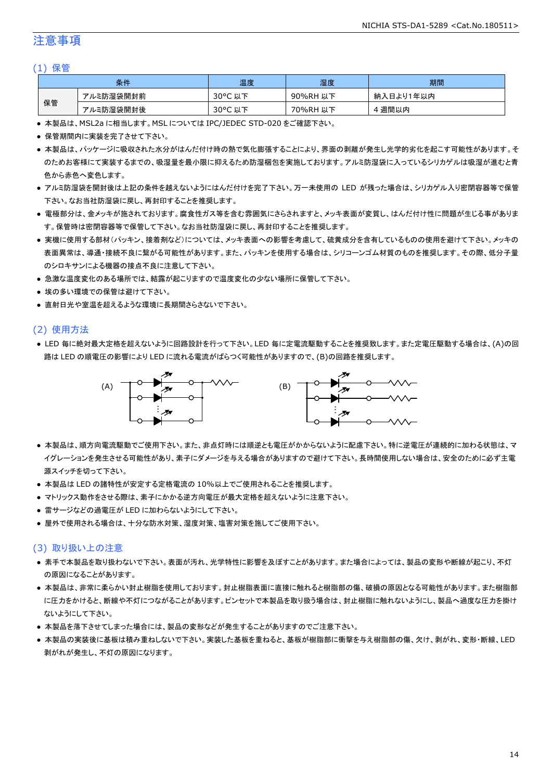### 注意事項

#### (1) 保管

|    | 条件        | 温度                    | 湿度       | 期間        |
|----|-----------|-----------------------|----------|-----------|
|    | アルミ防湿袋開封前 | $30^{\circ}$ C<br>以下  | 90%RH 以下 | 納入日より1年以内 |
| 保管 | アルミ防湿袋開封後 | $30^{\circ}$ C<br>,以下 | 70%RH 以下 | · 週間以内    |

● 本製品は、MSL2a に相当します。MSL については IPC/JEDEC STD-020 をご確認下さい。

- 保管期間内に実装を完了させて下さい。
- 本製品は、パッケージに吸収された水分がはんだ付け時の熱で気化膨張することにより、界面の剥離が発生し光学的劣化を起こす可能性があります。そ のためお客様にて実装するまでの、吸湿量を最小限に抑えるため防湿梱包を実施しております。アルミ防湿袋に入っているシリカゲルは吸湿が進むと青 色から赤色へ変色します。
- アルミ防湿袋を開封後は上記の条件を越えないようにはんだ付けを完了下さい。万一未使用の LED が残った場合は、シリカゲル入り密閉容器等で保管 下さい。なお当社防湿袋に戻し、再封印することを推奨します。
- 電極部分は、金メッキが施されております。腐食性ガス等を含む雰囲気にさらされますと、メッキ表面が変質し、はんだ付け性に問題が生じる事がありま す。保管時は密閉容器等で保管して下さい。なお当社防湿袋に戻し、再封印することを推奨します。
- 実機に使用する部材(パッキン、接着剤など)については、メッキ表面への影響を考慮して、硫黄成分を含有しているものの使用を避けて下さい。メッキの 表面異常は、導通・接続不良に繋がる可能性があります。また、パッキンを使用する場合は、シリコーンゴム材質のものを推奨します。その際、低分子量 のシロキサンによる機器の接点不良に注意して下さい。
- 急激な温度変化のある場所では、結露が起こりますので温度変化の少ない場所に保管して下さい。
- 埃の多い環境での保管は避けて下さい。
- 直射日光や室温を超えるような環境に長期間さらさないで下さい。

#### (2) 使用方法

● LED 毎に絶対最大定格を超えないように回路設計を行って下さい。LED 毎に定電流駆動することを推奨致します。また定電圧駆動する場合は、(A)の回 路は LED の順電圧の影響により LED に流れる電流がばらつく可能性がありますので、(B)の回路を推奨します。



- 本製品は、順方向電流駆動でご使用下さい。また、非点灯時には順逆とも電圧がかからないように配慮下さい。特に逆電圧が連続的に加わる状態は、マ イグレーションを発生させる可能性があり、素子にダメージを与える場合がありますので避けて下さい。長時間使用しない場合は、安全のために必ず主電 源スイッチを切って下さい。
- 本製品は LED の諸特性が安定する定格電流の 10%以上でご使用されることを推奨します。
- マトリックス動作をさせる際は、素子にかかる逆方向電圧が最大定格を超えないように注意下さい。
- 雷サージなどの過電圧が LED に加わらないようにして下さい。
- 屋外で使用される場合は、十分な防水対策、湿度対策、塩害対策を施してご使用下さい。

#### (3) 取り扱い上の注意

- 素手で本製品を取り扱わないで下さい。表面が汚れ、光学特性に影響を及ぼすことがあります。また場合によっては、製品の変形や断線が起こり、不灯 の原因になることがあります。
- 本製品は、非常に柔らかい封止樹脂を使用しております。封止樹脂表面に直接に触れると樹脂部の傷、破損の原因となる可能性があります。また樹脂部 に圧力をかけると、断線や不灯につながることがあります。ピンセットで本製品を取り扱う場合は、封止樹脂に触れないようにし、製品へ過度な圧力を掛け ないようにして下さい。
- 本製品を落下させてしまった場合には、製品の変形などが発生することがありますのでご注意下さい。
- 本製品の実装後に基板は積み重ねしないで下さい。実装した基板を重ねると、基板が樹脂部に衝撃を与え樹脂部の傷、欠け、剥がれ、変形・断線、LED 剥がれが発生し、不灯の原因になります。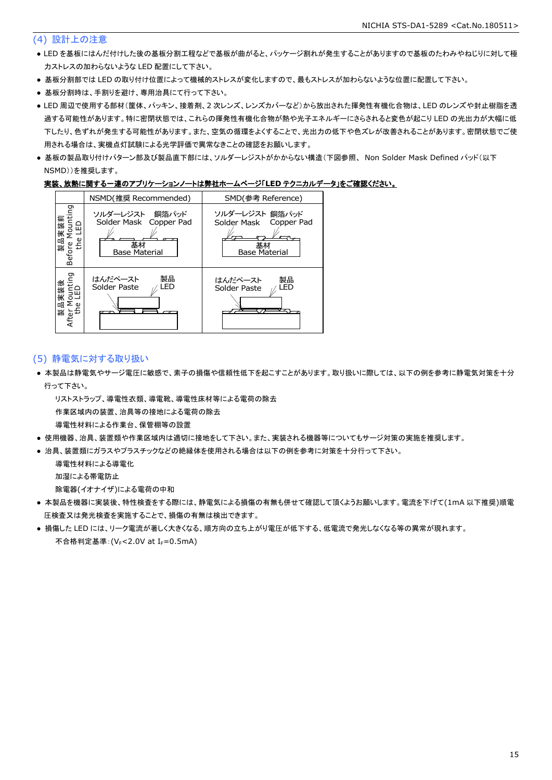#### (4) 設計上の注意

- LED を基板にはんだ付けした後の基板分割工程などで基板が曲がると、パッケージ割れが発生することがありますので基板のたわみやねじりに対して極 力ストレスの加わらないような LED 配置にして下さい。
- 基板分割部では LED の取り付け位置によって機械的ストレスが変化しますので、最もストレスが加わらないような位置に配置して下さい。
- 基板分割時は、手割りを避け、専用治具にて行って下さい。
- LED 周辺で使用する部材(筐体、パッキン、接着剤、2 次レンズ、レンズカバーなど)から放出された揮発性有機化合物は、LED のレンズや封止樹脂を透 過する可能性があります。特に密閉状態では、これらの揮発性有機化合物が熱や光子エネルギーにさらされると変色が起こり LED の光出力が大幅に低 下したり、色ずれが発生する可能性があります。また、空気の循環をよくすることで、光出力の低下や色ズレが改善されることがあります。密閉状態でご使 用される場合は、実機点灯試験による光学評価で異常なきことの確認をお願いします。
- 基板の製品取り付けパターン部及び製品直下部には、ソルダーレジストがかからない構造(下図参照、 Non Solder Mask Defined パッド(以下 NSMD))を推奨します。

#### 実装、放熱に関する一連のアプリケーションノートは弊社ホームページ「**LED** テクニカルデータ」をご確認ください。



#### (5) 静電気に対する取り扱い

● 本製品は静電気やサージ電圧に敏感で、素子の損傷や信頼性低下を起こすことがあります。取り扱いに際しては、以下の例を参考に静電気対策を十分 行って下さい。

リストストラップ、導電性衣類、導電靴、導電性床材等による電荷の除去

作業区域内の装置、治具等の接地による電荷の除去

- 導電性材料による作業台、保管棚等の設置
- 使用機器、治具、装置類や作業区域内は適切に接地をして下さい。また、実装される機器等についてもサージ対策の実施を推奨します。
- 治具、装置類にガラスやプラスチックなどの絶縁体を使用される場合は以下の例を参考に対策を十分行って下さい。

導電性材料による導電化

加湿による帯電防止

除電器(イオナイザ)による電荷の中和

- 本製品を機器に実装後、特性検査をする際には、静電気による損傷の有無も併せて確認して頂くようお願いします。電流を下げて(1mA 以下推奨)順電 圧検査又は発光検査を実施することで、損傷の有無は検出できます。
- 損傷した LED には、リーク電流が著しく大きくなる、順方向の立ち上がり電圧が低下する、低電流で発光しなくなる等の異常が現れます。 不合格判定基準: (VF<2.0V at IF=0.5mA)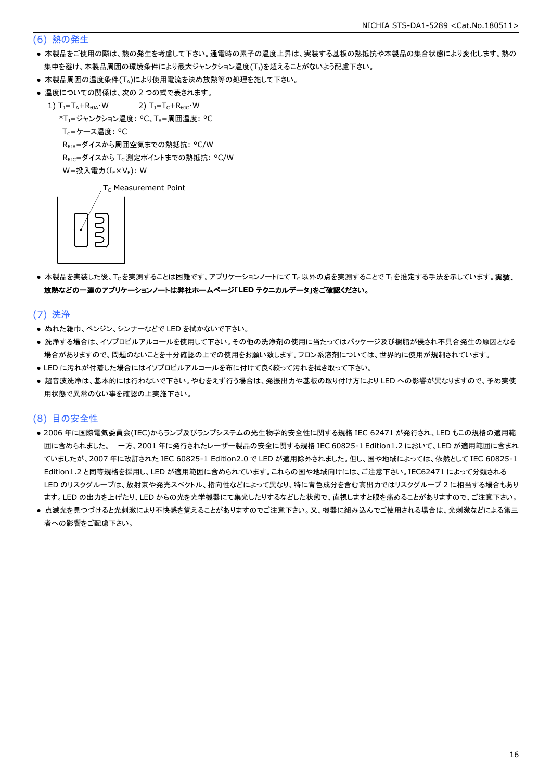#### (6) 熱の発生

- 本製品をご使用の際は、熱の発生を考慮して下さい。通電時の素子の温度上昇は、実装する基板の熱抵抗や本製品の集合状態により変化します。熱の 集中を避け、本製品周囲の環境条件により最大ジャンクション温度(T))を超えることがないよう配慮下さい。
- 本製品周囲の温度条件(TA)により使用電流を決め放熱等の処理を施して下さい。
- 温度についての関係は、次の2つの式で表されます。
	- 1)  $T_1 = T_A + R_{\thetaJA} \cdot W$  2)  $T_1 = T_C + R_{\thetaJC} \cdot W$ 
		- \*T<sub>1</sub>=ジャンクション温度: °C、TA=周囲温度: °C

 $T_C = \mathcal{F} - \mathcal{F}$ 温度: °C

RθJA=ダイスから周囲空気までの熱抵抗: °C/W

R<sub>0JC</sub>=ダイスから T<sub>C</sub> 測定ポイントまでの熱抵抗: °C/W

 $W = \frac{1}{2} \lambda \frac{1}{2} \sum_{r=1}^{\infty} (I_r \times V_r)$ : W

 $T_c$  Measurement Point



● 本製品を実装した後、Tcを実測することは困難です。アプリケーションノートにて Tc以外の点を実測することで T」を推定する手法を示しています。実装、 放熱などの一連のアプリケーションノートは弊社ホームページ「**LED** テクニカルデータ」をご確認ください。

(7) 洗浄

- ぬれた雑巾、ベンジン、シンナーなどで LED を拭かないで下さい。
- 洗浄する場合は、イソプロピルアルコールを使用して下さい。その他の洗浄剤の使用に当たってはパッケージ及び樹脂が侵され不具合発生の原因となる 場合がありますので、問題のないことを十分確認の上での使用をお願い致します。フロン系溶剤については、世界的に使用が規制されています。
- LED に汚れが付着した場合にはイソプロピルアルコールを布に付けて良く絞って汚れを拭き取って下さい。
- 超音波洗浄は、基本的には行わないで下さい。やむをえず行う場合は、発振出力や基板の取り付け方により LED への影響が異なりますので、予め実使 用状態で異常のない事を確認の上実施下さい。

#### (8) 目の安全性

- 2006 年に国際電気委員会(IEC)からランプ及びランプシステムの光生物学的安全性に関する規格 IEC 62471 が発行され、LED もこの規格の適用範 囲に含められました。 一方、2001 年に発行されたレーザー製品の安全に関する規格 IEC 60825-1 Edition1.2 において、LED が適用範囲に含まれ ていましたが、2007 年に改訂された IEC 60825-1 Edition2.0 で LED が適用除外されました。但し、国や地域によっては、依然として IEC 60825-1 Edition1.2 と同等規格を採用し、LED が適用範囲に含められています。これらの国や地域向けには、ご注意下さい。IEC62471 によって分類される LED のリスクグループは、放射束や発光スペクトル、指向性などによって異なり、特に青色成分を含む高出力ではリスクグループ 2 に相当する場合もあり ます。LED の出力を上げたり、LED からの光を光学機器にて集光したりするなどした状態で、直視しますと眼を痛めることがありますので、ご注意下さい。
- 点滅光を見つづけると光刺激により不快感を覚えることがありますのでご注意下さい。又、機器に組み込んでご使用される場合は、光刺激などによる第三 者への影響をご配慮下さい。